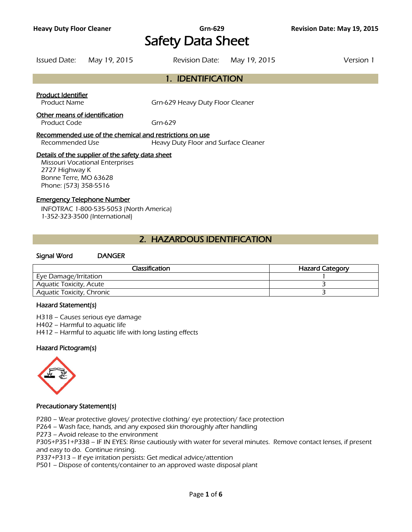## **Heavy Duty Floor Cleaner Grn-629 Revision Date: May 19, 2015** Safety Data Sheet

Issued Date: May 19, 2015 Revision Date: May 19, 2015 Version 1

### 1. IDENTIFICATION

#### Product Identifier

Product Name Grn-629 Heavy Duty Floor Cleaner

### Other means of identification

Product Code Grn-629

Recommended use of the chemical and restrictions on use Recommended Use **Heavy Duty Floor and Surface Cleaner** 

### Details of the supplier of the safety data sheet

Missouri Vocational Enterprises 2727 Highway K Bonne Terre, MO 63628 Phone: (573) 358-5516

### Emergency Telephone Number

INFOTRAC 1-800-535-5053 (North America) 1-352-323-3500 (International)

### 2. HAZARDOUS IDENTIFICATION

### Signal Word DANGER

| <b>Classification</b>            | <b>Hazard Category</b> |
|----------------------------------|------------------------|
| Eye Damage/Irritation            |                        |
| <b>Aquatic Toxicity, Acute</b>   |                        |
| <b>Aquatic Toxicity, Chronic</b> |                        |
|                                  |                        |

#### Hazard Statement(s)

H318 – Causes serious eye damage H402 – Harmful to aquatic life H412 – Harmful to aquatic life with long lasting effects

### Hazard Pictogram(s)



### Precautionary Statement(s)

P280 – Wear protective gloves/ protective clothing/ eye protection/ face protection

P264 – Wash face, hands, and any exposed skin thoroughly after handling

P273 – Avoid release to the environment

P305+P351+P338 – IF IN EYES: Rinse cautiously with water for several minutes. Remove contact lenses, if present and easy to do. Continue rinsing.

P337+P313 – If eye irritation persists: Get medical advice/attention

P501 – Dispose of contents/container to an approved waste disposal plant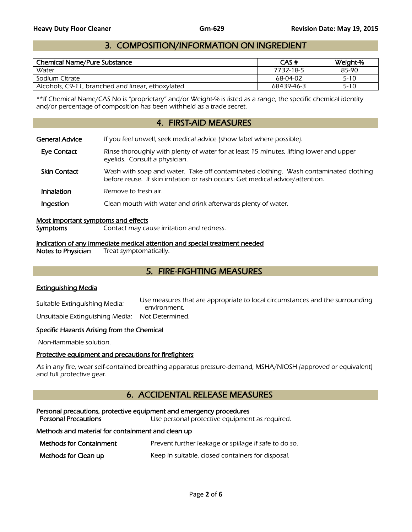### 3. COMPOSITION/INFORMATION ON INGREDIENT

|                                                   |            | Weight-% |
|---------------------------------------------------|------------|----------|
| Water                                             | 7732-18-5  | 85-90    |
| Sodium Citrate                                    | 68-04-02   | $5 - 10$ |
| Alcohols, C9-11, branched and linear, ethoxylated | 68439-46-3 | $5 - 10$ |

\*\*If Chemical Name/CAS No is "proprietary" and/or Weight-% is listed as a range, the specific chemical identity and/or percentage of composition has been withheld as a trade secret.

### 4. FIRST-AID MEASURES

| <b>General Advice</b> | If you feel unwell, seek medical advice (show label where possible).                                                                                                   |
|-----------------------|------------------------------------------------------------------------------------------------------------------------------------------------------------------------|
| Eye Contact           | Rinse thoroughly with plenty of water for at least 15 minutes, lifting lower and upper<br>eyelids. Consult a physician.                                                |
| <b>Skin Contact</b>   | Wash with soap and water. Take off contaminated clothing. Wash contaminated clothing<br>before reuse. If skin irritation or rash occurs: Get medical advice/attention. |
| <b>Inhalation</b>     | Remove to fresh air.                                                                                                                                                   |
| Ingestion             | Clean mouth with water and drink afterwards plenty of water.                                                                                                           |

#### Most important symptoms and effects

Symptoms Contact may cause irritation and redness.

Indication of any immediate medical attention and special treatment needed<br>Notes to Physician Treat symptomatically.

Treat symptomatically.

### 5. FIRE-FIGHTING MEASURES

### Extinguishing Media

Suitable Extinguishing Media: Use measures that are appropriate to local circumstances and the surrounding environment.

Unsuitable Extinguishing Media: Not Determined.

### Specific Hazards Arising from the Chemical

Non-flammable solution.

### Protective equipment and precautions for firefighters

 As in any fire, wear self-contained breathing apparatus pressure-demand, MSHA/NIOSH (approved or equivalent) and full protective gear.

### 6. ACCIDENTAL RELEASE MEASURES

### Personal precautions, protective equipment and emergency procedures

Personal Precautions **Exercise** Use personal protective equipment as required.

### Methods and material for containment and clean up

Methods for Containment Prevent further leakage or spillage if safe to do so.

**Methods for Clean up** Keep in suitable, closed containers for disposal.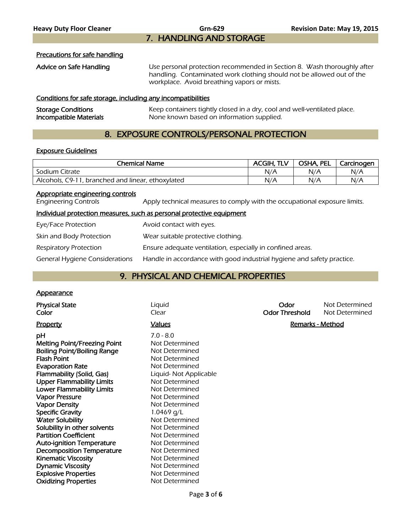### Precautions for safe handling

Advice on Safe Handling Use personal protection recommended in Section 8. Wash thoroughly after handling. Contaminated work clothing should not be allowed out of the workplace. Avoid breathing vapors or mists.

### Conditions for safe storage, including any incompatibilities

| <b>Storage Conditions</b> | Keep containers tightly closed in a dry, cool and well-ventilated place. |
|---------------------------|--------------------------------------------------------------------------|
| Incompatible Materials    | None known based on information supplied.                                |

### 8. EXPOSURE CONTROLS/PERSONAL PROTECTION

### Exposure Guidelines

|                                                                 | <b>Chemical Name</b>                                                      | <b>ACGIH, TLV</b> | OSHA, PEL | Carcinogen |
|-----------------------------------------------------------------|---------------------------------------------------------------------------|-------------------|-----------|------------|
| Sodium Citrate                                                  |                                                                           | N/A               | N/A       | N/A        |
| Alcohols, C9-11, branched and linear, ethoxylated               |                                                                           | N/A               | N/A       | N/A        |
| Appropriate engineering controls<br><b>Engineering Controls</b> | Apply technical measures to comply with the occupational exposure limits. |                   |           |            |
|                                                                 | tedividual assessation means use augh as assessat asstastivo cautament    |                   |           |            |

### Individual protection measures, such as personal protective equipment

| Eye/Face Protection            | Avoid contact with eyes.                                               |
|--------------------------------|------------------------------------------------------------------------|
| Skin and Body Protection       | Wear suitable protective clothing.                                     |
| Respiratory Protection         | Ensure adequate ventilation, especially in confined areas.             |
| General Hygiene Considerations | Handle in accordance with good industrial hygiene and safety practice. |

### 9. PHYSICAL AND CHEMICAL PROPERTIES

### **Appearance**

| <b>Physical State</b><br>Color                                                                                                                                                                                                                                                                                                                                                                                                                                                                                                                                  | Liquid<br>Clear                                                                                                                                                                                                                                                                                                                                     | Odor<br><b>Odor Threshold</b> | Not Determined<br>Not Determined |
|-----------------------------------------------------------------------------------------------------------------------------------------------------------------------------------------------------------------------------------------------------------------------------------------------------------------------------------------------------------------------------------------------------------------------------------------------------------------------------------------------------------------------------------------------------------------|-----------------------------------------------------------------------------------------------------------------------------------------------------------------------------------------------------------------------------------------------------------------------------------------------------------------------------------------------------|-------------------------------|----------------------------------|
| <b>Property</b>                                                                                                                                                                                                                                                                                                                                                                                                                                                                                                                                                 | <b>Values</b>                                                                                                                                                                                                                                                                                                                                       | Remarks - Method              |                                  |
| рH<br>Melting Point/Freezing Point<br>Boiling Point/Boiling Range<br><b>Flash Point</b><br><b>Evaporation Rate</b><br>Flammability (Solid, Gas)<br><b>Upper Flammability Limits</b><br><b>Lower Flammability Limits</b><br><b>Vapor Pressure</b><br><b>Vapor Density</b><br><b>Specific Gravity</b><br><b>Water Solubility</b><br>Solubility in other solvents<br><b>Partition Coefficient</b><br><b>Auto-ignition Temperature</b><br><b>Decomposition Temperature</b><br><b>Kinematic Viscosity</b><br><b>Dynamic Viscosity</b><br><b>Explosive Properties</b> | $7.0 - 8.0$<br>Not Determined<br>Not Determined<br>Not Determined<br>Not Determined<br>Liquid- Not Applicable<br>Not Determined<br>Not Determined<br>Not Determined<br>Not Determined<br>1.0469 g/L<br>Not Determined<br>Not Determined<br>Not Determined<br>Not Determined<br>Not Determined<br>Not Determined<br>Not Determined<br>Not Determined |                               |                                  |
| <b>Oxidizing Properties</b>                                                                                                                                                                                                                                                                                                                                                                                                                                                                                                                                     | Not Determined                                                                                                                                                                                                                                                                                                                                      |                               |                                  |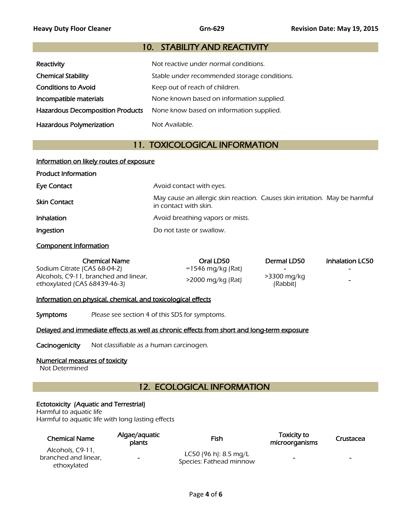### 10. STABILITY AND REACTIVITY

| Reactivity                              | Not reactive under normal conditions.        |
|-----------------------------------------|----------------------------------------------|
| <b>Chemical Stability</b>               | Stable under recommended storage conditions. |
| <b>Conditions to Avoid</b>              | Keep out of reach of children.               |
| Incompatible materials                  | None known based on information supplied.    |
| <b>Hazardous Decomposition Products</b> | None know based on information supplied.     |
| Hazardous Polymerization                | Not Available.                               |

### 11. TOXICOLOGICAL INFORMATION

| Information on likely routes of exposure |                                                                                                      |  |  |
|------------------------------------------|------------------------------------------------------------------------------------------------------|--|--|
| <b>Product Information</b>               |                                                                                                      |  |  |
| <b>Eye Contact</b>                       | Avoid contact with eyes.                                                                             |  |  |
| <b>Skin Contact</b>                      | May cause an allergic skin reaction. Causes skin irritation. May be harmful<br>in contact with skin. |  |  |
| <b>Inhalation</b>                        | Avoid breathing vapors or mists.                                                                     |  |  |
| Ingestion                                | Do not taste or swallow.                                                                             |  |  |

### Component Information

| <b>Chemical Name</b>                                                     | Oral LD50         | Dermal LD50             | Inhalation LC50 |
|--------------------------------------------------------------------------|-------------------|-------------------------|-----------------|
| Sodium Citrate (CAS 68-04-2)                                             | =1546 mg/kg (Rat) | $\sim$                  |                 |
| Alcohols, C9-11, branched and linear,<br>ethoxylated (CAS $68439-46-3$ ) | >2000 mg/kg (Rat) | >3300 mg/kg<br>(Rabbit) | -               |

### Information on physical, chemical, and toxicological effects

Symptoms Please see section 4 of this SDS for symptoms.

### Delayed and immediate effects as well as chronic effects from short and long-term exposure

Cacinogenicity Not classifiable as a human carcinogen.

### Numerical measures of toxicity

Not Determined

### 12. ECOLOGICAL INFORMATION

### Ectotoxicity (Aquatic and Terrestrial)

Harmful to aquatic life Harmful to aquatic life with long lasting effects

| <b>Chemical Name</b>                                    | Algae/aquatic<br>plants  | Fish                                             | <b>Toxicity to</b><br>microorganisms | Crustacea |
|---------------------------------------------------------|--------------------------|--------------------------------------------------|--------------------------------------|-----------|
| Alcohols, C9-11.<br>branched and linear,<br>ethoxylated | $\overline{\phantom{0}}$ | LC50 (96 h): 8.5 mg/L<br>Species: Fathead minnow | -                                    | $\sim$    |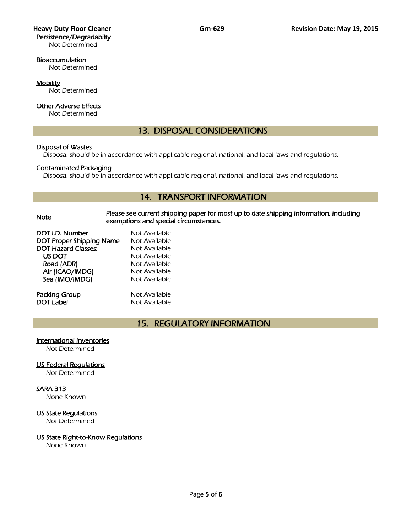# Persistence/Degradabilty

Not Determined.

### Bioaccumulation

Not Determined.

### **Mobility**

Not Determined.

### Other Adverse Effects

Not Determined.

### 13. DISPOSAL CONSIDERATIONS

### Disposal of Wastes

Disposal should be in accordance with applicable regional, national, and local laws and regulations.

### Contaminated Packaging

Disposal should be in accordance with applicable regional, national, and local laws and regulations.

### 14. TRANSPORT INFORMATION

### Note Please see current shipping paper for most up to date shipping information, including exemptions and special circumstances.

| DOT I.D. Number                 | Not Available |
|---------------------------------|---------------|
| <b>DOT Proper Shipping Name</b> | Not Available |
| DOT Hazard Classes:             | Not Available |
| US DOT                          | Not Available |
| Road (ADR)                      | Not Available |
| Air (ICAO/IMDG)                 | Not Available |
| Sea (IMO/IMDG)                  | Not Available |
|                                 |               |
|                                 |               |

Packing Group Not Available **DOT Label Not Available** 

### 15. REGULATORY INFORMATION

### International Inventories

Not Determined

### US Federal Regulations

Not Determined

### SARA 313

None Known

### US State Regulations

Not Determined

### US State Right-to-Know Regulations

None Known